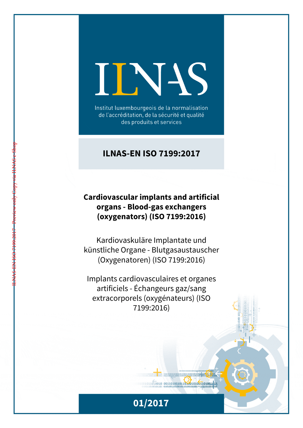# INS

Institut luxembourgeois de la normalisation de l'accréditation, de la sécurité et qualité des produits et services

# **ILNAS-EN ISO 7199:2017**

## **Cardiovascular implants and artificial organs - Blood-gas exchangers (oxygenators) (ISO 7199:2016)**

ILNAS-EN ISO 7199:2017 - Preview only Copy via ILNAS e-Shop

Kardiovaskuläre Implantate und künstliche Organe - Blutgasaustauscher (Oxygenatoren) (ISO 7199:2016)

Implants cardiovasculaires et organes artificiels - Échangeurs gaz/sang extracorporels (oxygénateurs) (ISO 7199:2016)



 $1011010010 00110100101101001001101001111$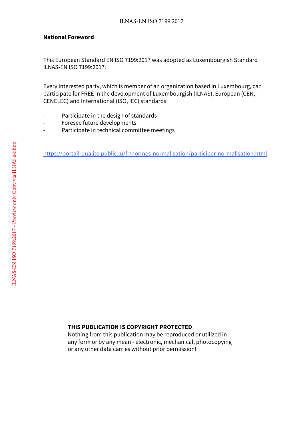#### **National Foreword**

This European Standard EN ISO 7199:2017 was adopted as Luxembourgish Standard ILNAS-EN ISO 7199:2017.

Every interested party, which is member of an organization based in Luxembourg, can participate for FREE in the development of Luxembourgish (ILNAS), European (CEN, CENELEC) and International (ISO, IEC) standards:

- Participate in the design of standards
- Foresee future developments
- Participate in technical committee meetings

https://portail-qualite.public.lu/fr/normes-normalisation/participer-normalisation.html

#### **THIS PUBLICATION IS COPYRIGHT PROTECTED**

Nothing from this publication may be reproduced or utilized in any form or by any mean - electronic, mechanical, photocopying or any other data carries without prior permission!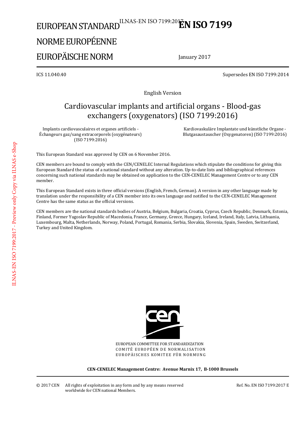# EUROPEAN STANDARD NORME EUROPÉENNE ILNAS-EN ISO 7199:20**EN ISO 7199**

# EUROPÄISCHE NORM

January 2017

ICS 11.040.40 Supersedes EN ISO 7199:2014

English Version

# Cardiovascular implants and artificial organs - Blood-gas exchangers (oxygenators) (ISO 7199:2016)

Implants cardiovasculaires et organes artificiels - Échangeurs gaz/sang extracorporels (oxygénateurs) (ISO 7199:2016)

 Kardiovaskuläre Implantate und künstliche Organe - Blutgasaustauscher (Oxygenatoren) (ISO 7199:2016)

This European Standard was approved by CEN on 6 November 2016.

CEN members are bound to comply with the CEN/CENELEC Internal Regulations which stipulate the conditions for giving this European Standard the status of a national standard without any alteration. Up-to-date lists and bibliographical references concerning such national standards may be obtained on application to the CEN-CENELEC Management Centre or to any CEN member.

This European Standard exists in three official versions (English, French, German). A version in any other language made by translation under the responsibility of a CEN member into its own language and notified to the CEN-CENELEC Management Centre has the same status as the official versions.

CEN members are the national standards bodies of Austria, Belgium, Bulgaria, Croatia, Cyprus, Czech Republic, Denmark, Estonia, Finland, Former Yugoslav Republic of Macedonia, France, Germany, Greece, Hungary, Iceland, Ireland, Italy, Latvia, Lithuania, Luxembourg, Malta, Netherlands, Norway, Poland, Portugal, Romania, Serbia, Slovakia, Slovenia, Spain, Sweden, Switzerland, Turkey and United Kingdom.



EUROPEAN COMMITTEE FOR STANDARDIZATION COMITÉ EUROPÉEN DE NORMALISATION EUROPÄISCHES KOMITEE FÜR NORMUNG

**CEN-CENELEC Management Centre: Avenue Marnix 17, B-1000 Brussels**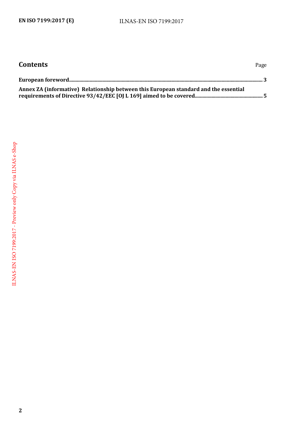<span id="page-3-0"></span>

| <b>Contents</b>                                                                      | Page |
|--------------------------------------------------------------------------------------|------|
|                                                                                      |      |
| Annex ZA (informative) Relationship between this European standard and the essential |      |

**2**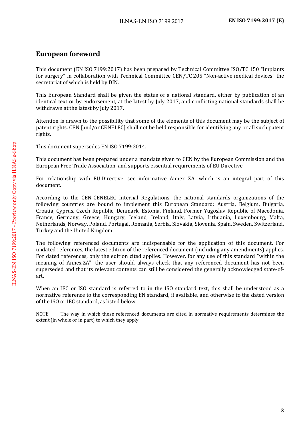### **European foreword**

This document (EN ISO 7199:2017) has been prepared by Technical Committee ISO/TC 150 "Implants for surgery" in collaboration with Technical Committee CEN/TC 205 "Non-active medical devices" the secretariat of which is held by DIN.

This European Standard shall be given the status of a national standard, either by publication of an identical text or by endorsement, at the latest by July 2017, and conflicting national standards shall be withdrawn at the latest by July 2017.

Attention is drawn to the possibility that some of the elements of this document may be the subject of patent rights. CEN [and/or CENELEC] shall not be held responsible for identifying any or all such patent rights.

This document supersedes EN ISO 7199:2014.

This document has been prepared under a mandate given to CEN by the European Commission and the European Free Trade Association, and supports essential requirements of EU Directive.

For relationship with EU Directive, see informative Annex ZA, which is an integral part of this document.

According to the CEN-CENELEC Internal Regulations, the national standards organizations of the following countries are bound to implement this European Standard: Austria, Belgium, Bulgaria, Croatia, Cyprus, Czech Republic, Denmark, Estonia, Finland, Former Yugoslav Republic of Macedonia, France, Germany, Greece, Hungary, Iceland, Ireland, Italy, Latvia, Lithuania, Luxembourg, Malta, Netherlands, Norway, Poland, Portugal, Romania, Serbia, Slovakia, Slovenia, Spain, Sweden, Switzerland, Turkey and the United Kingdom.

The following referenced documents are indispensable for the application of this document. For undated references, the latest edition of the referenced document (including any amendments) applies. For dated references, only the edition cited applies. However, for any use of this standard "within the meaning of Annex ZA", the user should always check that any referenced document has not been superseded and that its relevant contents can still be considered the generally acknowledged state-ofart.

When an IEC or ISO standard is referred to in the ISO standard text, this shall be understood as a normative reference to the corresponding EN standard, if available, and otherwise to the dated version of the ISO or IEC standard, as listed below.

NOTE The way in which these referenced documents are cited in normative requirements determines the extent (in whole or in part) to which they apply.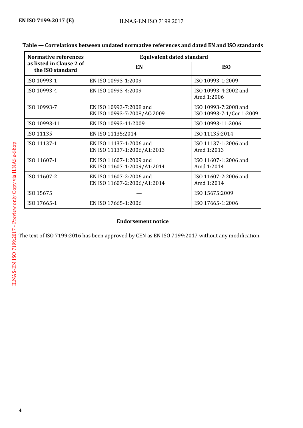| <b>Normative references</b>                  | <b>Equivalent dated standard</b>                       |                                                  |
|----------------------------------------------|--------------------------------------------------------|--------------------------------------------------|
| as listed in Clause 2 of<br>the ISO standard | EN                                                     | <b>ISO</b>                                       |
| ISO 10993-1                                  | EN ISO 10993-1:2009                                    | ISO 10993-1:2009                                 |
| ISO 10993-4                                  | EN ISO 10993-4:2009                                    | ISO 10993-4:2002 and<br>Amd 1:2006               |
| ISO 10993-7                                  | EN ISO 10993-7:2008 and<br>EN ISO 10993-7:2008/AC:2009 | ISO 10993-7:2008 and<br>ISO 10993-7:1/Cor 1:2009 |
| ISO 10993-11                                 | EN ISO 10993-11:2009                                   | ISO 10993-11:2006                                |
| ISO 11135                                    | EN ISO 11135:2014                                      | ISO 11135:2014                                   |
| ISO 11137-1                                  | EN ISO 11137-1:2006 and<br>EN ISO 11137-1:2006/A1:2013 | ISO 11137-1:2006 and<br>Amd 1:2013               |
| ISO 11607-1                                  | EN ISO 11607-1:2009 and<br>EN ISO 11607-1:2009/A1:2014 | ISO 11607-1:2006 and<br>Amd 1:2014               |
| ISO 11607-2                                  | EN ISO 11607-2:2006 and<br>EN ISO 11607-2:2006/A1:2014 | ISO 11607-2:2006 and<br>Amd 1:2014               |
| ISO 15675                                    |                                                        | ISO 15675:2009                                   |
| ISO 17665-1                                  | EN ISO 17665-1:2006                                    | ISO 17665-1:2006                                 |

#### **Endorsement notice**

The text of ISO 7199:2016 has been approved by CEN as EN ISO 7199:2017 without any modification.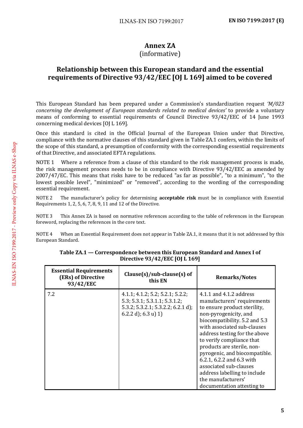## **Annex ZA**

#### (informative)

#### <span id="page-6-0"></span>**Relationship between this European standard and the essential requirements of Directive 93/42/EEC [OJ L 169] aimed to be covered**

This European Standard has been prepared under a Commission's standardization request *'M/023 concerning the development of European standards related to medical devices'* to provide a voluntary means of conforming to essential requirements of Council Directive 93/42/EEC of 14 June 1993 concerning medical devices [OJ L 169].

Once this standard is cited in the Official Journal of the European Union under that Directive, compliance with the normative clauses of this standard given in Table ZA.1 confers, within the limits of the scope of this standard, a presumption of conformity with the corresponding essential requirements of that Directive, and associated EFTA regulations.

NOTE 1 Where a reference from a clause of this standard to the risk management process is made, the risk management process needs to be in compliance with Directive 93/42/EEC as amended by 2007/47/EC. This means that risks have to be reduced "as far as possible", "to a minimum", "to the lowest possible level", "minimized" or "removed", according to the wording of the corresponding essential requirement.

NOTE 2 The manufacturer's policy for determining **acceptable risk** must be in compliance with Essential Requirements 1, 2, 5, 6, 7, 8, 9, 11 and 12 of the Directive.

NOTE 3 This Annex ZA is based on normative references according to the table of references in the European foreword, replacing the references in the core text.

NOTE 4 When an Essential Requirement does not appear in Table ZA.1, it means that it is not addressed by this European Standard.

| <b>Essential Requirements</b><br>(ERs) of Directive<br>93/42/EEC | $Clause(s)/sub-clause(s)$ of<br>this EN                                                                                                                        | <b>Remarks/Notes</b>                                                                                                                                                                                                                                                                                                                                                                                                                                    |
|------------------------------------------------------------------|----------------------------------------------------------------------------------------------------------------------------------------------------------------|---------------------------------------------------------------------------------------------------------------------------------------------------------------------------------------------------------------------------------------------------------------------------------------------------------------------------------------------------------------------------------------------------------------------------------------------------------|
| 7.2                                                              | $4.1.1$ ; $4.1.2$ ; $5.2$ ; $5.2.1$ ; $5.2.2$ ;<br>5.3; 5.3.1; 5.3.1.1; 5.3.1.2;<br>$5.3.2$ ; $5.3.2.1$ ; $5.3.2.2$ ; $6.2.1$ d);<br>$(6.2.2 d)$ ; $(6.3 u) 1$ | 4.1.1 and 4.1.2 address<br>manufacturers' requirements<br>to ensure product sterility,<br>non-pyrogenicity, and<br>biocompatibility. 5.2 and 5.3<br>with associated sub-clauses<br>address testing for the above<br>to verify compliance that<br>products are sterile, non-<br>pyrogenic, and biocompatible.<br>6.2.1, 6.2.2 and 6.3 with<br>associated sub-clauses<br>address labelling to include<br>the manufacturers'<br>documentation attesting to |

**Table ZA.1 — Correspondence between this European Standard and Annex I of Directive 93/42/EEC [OJ L 169]**